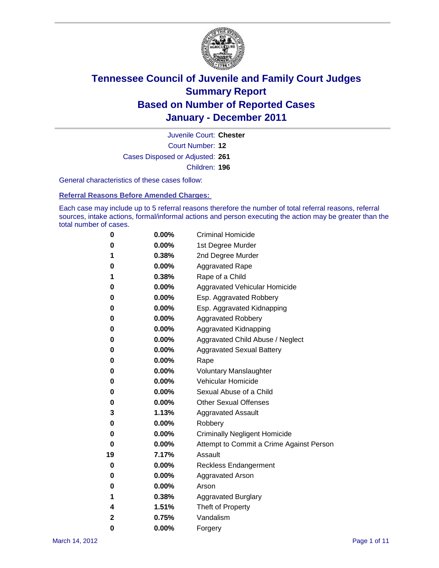

Court Number: **12** Juvenile Court: **Chester** Cases Disposed or Adjusted: **261** Children: **196**

General characteristics of these cases follow:

**Referral Reasons Before Amended Charges:** 

Each case may include up to 5 referral reasons therefore the number of total referral reasons, referral sources, intake actions, formal/informal actions and person executing the action may be greater than the total number of cases.

| 0  | 0.00% | <b>Criminal Homicide</b>                 |  |  |  |
|----|-------|------------------------------------------|--|--|--|
| 0  | 0.00% | 1st Degree Murder                        |  |  |  |
| 1  | 0.38% | 2nd Degree Murder                        |  |  |  |
| 0  | 0.00% | <b>Aggravated Rape</b>                   |  |  |  |
| 1  | 0.38% | Rape of a Child                          |  |  |  |
| 0  | 0.00% | Aggravated Vehicular Homicide            |  |  |  |
| 0  | 0.00% | Esp. Aggravated Robbery                  |  |  |  |
| 0  | 0.00% | Esp. Aggravated Kidnapping               |  |  |  |
| 0  | 0.00% | <b>Aggravated Robbery</b>                |  |  |  |
| 0  | 0.00% | Aggravated Kidnapping                    |  |  |  |
| 0  | 0.00% | Aggravated Child Abuse / Neglect         |  |  |  |
| 0  | 0.00% | <b>Aggravated Sexual Battery</b>         |  |  |  |
| 0  | 0.00% | Rape                                     |  |  |  |
| 0  | 0.00% | <b>Voluntary Manslaughter</b>            |  |  |  |
| 0  | 0.00% | Vehicular Homicide                       |  |  |  |
| 0  | 0.00% | Sexual Abuse of a Child                  |  |  |  |
| 0  | 0.00% | <b>Other Sexual Offenses</b>             |  |  |  |
| 3  | 1.13% | <b>Aggravated Assault</b>                |  |  |  |
| 0  | 0.00% | Robbery                                  |  |  |  |
| 0  | 0.00% | <b>Criminally Negligent Homicide</b>     |  |  |  |
| 0  | 0.00% | Attempt to Commit a Crime Against Person |  |  |  |
| 19 | 7.17% | Assault                                  |  |  |  |
| 0  | 0.00% | <b>Reckless Endangerment</b>             |  |  |  |
| 0  | 0.00% | <b>Aggravated Arson</b>                  |  |  |  |
| 0  | 0.00% | Arson                                    |  |  |  |
| 1  | 0.38% | <b>Aggravated Burglary</b>               |  |  |  |
| 4  | 1.51% | Theft of Property                        |  |  |  |
| 2  | 0.75% | Vandalism                                |  |  |  |
| 0  | 0.00% | Forgery                                  |  |  |  |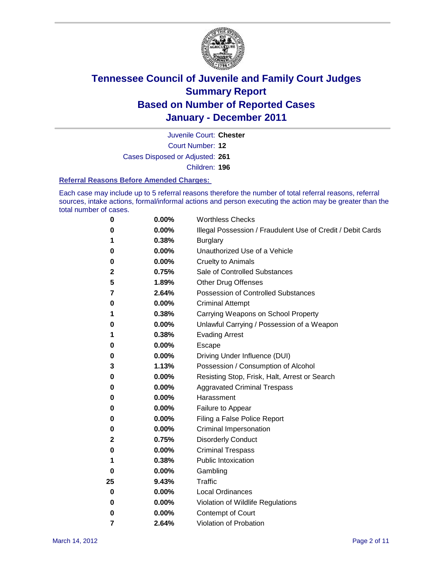

Court Number: **12** Juvenile Court: **Chester**

Cases Disposed or Adjusted: **261**

Children: **196**

#### **Referral Reasons Before Amended Charges:**

Each case may include up to 5 referral reasons therefore the number of total referral reasons, referral sources, intake actions, formal/informal actions and person executing the action may be greater than the total number of cases.

| 0  | 0.00% | <b>Worthless Checks</b>                                     |  |  |  |
|----|-------|-------------------------------------------------------------|--|--|--|
| 0  | 0.00% | Illegal Possession / Fraudulent Use of Credit / Debit Cards |  |  |  |
| 1  | 0.38% | <b>Burglary</b>                                             |  |  |  |
| 0  | 0.00% | Unauthorized Use of a Vehicle                               |  |  |  |
| 0  | 0.00% | <b>Cruelty to Animals</b>                                   |  |  |  |
| 2  | 0.75% | Sale of Controlled Substances                               |  |  |  |
| 5  | 1.89% | <b>Other Drug Offenses</b>                                  |  |  |  |
| 7  | 2.64% | Possession of Controlled Substances                         |  |  |  |
| 0  | 0.00% | <b>Criminal Attempt</b>                                     |  |  |  |
| 1  | 0.38% | Carrying Weapons on School Property                         |  |  |  |
| 0  | 0.00% | Unlawful Carrying / Possession of a Weapon                  |  |  |  |
| 1  | 0.38% | <b>Evading Arrest</b>                                       |  |  |  |
| 0  | 0.00% | Escape                                                      |  |  |  |
| 0  | 0.00% | Driving Under Influence (DUI)                               |  |  |  |
| 3  | 1.13% | Possession / Consumption of Alcohol                         |  |  |  |
| 0  | 0.00% | Resisting Stop, Frisk, Halt, Arrest or Search               |  |  |  |
| 0  | 0.00% | <b>Aggravated Criminal Trespass</b>                         |  |  |  |
| 0  | 0.00% | Harassment                                                  |  |  |  |
| 0  | 0.00% | Failure to Appear                                           |  |  |  |
| 0  | 0.00% | Filing a False Police Report                                |  |  |  |
| 0  | 0.00% | Criminal Impersonation                                      |  |  |  |
| 2  | 0.75% | <b>Disorderly Conduct</b>                                   |  |  |  |
| 0  | 0.00% | <b>Criminal Trespass</b>                                    |  |  |  |
| 1  | 0.38% | <b>Public Intoxication</b>                                  |  |  |  |
| 0  | 0.00% | Gambling                                                    |  |  |  |
| 25 | 9.43% | <b>Traffic</b>                                              |  |  |  |
| 0  | 0.00% | <b>Local Ordinances</b>                                     |  |  |  |
| 0  | 0.00% | Violation of Wildlife Regulations                           |  |  |  |
| 0  | 0.00% | Contempt of Court                                           |  |  |  |
| 7  | 2.64% | Violation of Probation                                      |  |  |  |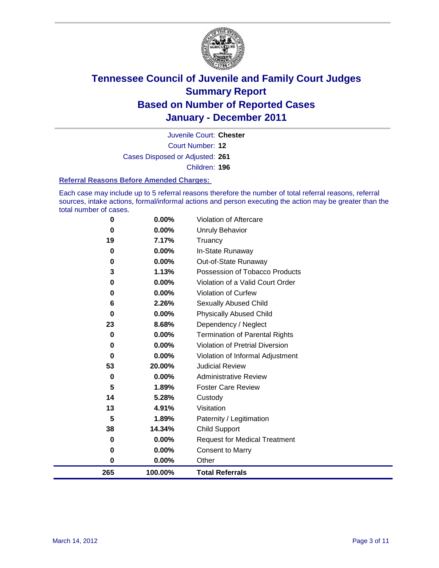

Court Number: **12** Juvenile Court: **Chester** Cases Disposed or Adjusted: **261** Children: **196**

#### **Referral Reasons Before Amended Charges:**

Each case may include up to 5 referral reasons therefore the number of total referral reasons, referral sources, intake actions, formal/informal actions and person executing the action may be greater than the total number of cases.

| 0        | 0.00%    | Violation of Aftercare                 |
|----------|----------|----------------------------------------|
| 0        | 0.00%    | <b>Unruly Behavior</b>                 |
| 19       | 7.17%    | Truancy                                |
| 0        | 0.00%    | In-State Runaway                       |
| 0        | $0.00\%$ | Out-of-State Runaway                   |
| 3        | 1.13%    | Possession of Tobacco Products         |
| 0        | $0.00\%$ | Violation of a Valid Court Order       |
| 0        | $0.00\%$ | Violation of Curfew                    |
| 6        | 2.26%    | Sexually Abused Child                  |
| $\bf{0}$ | 0.00%    | <b>Physically Abused Child</b>         |
| 23       | 8.68%    | Dependency / Neglect                   |
| 0        | $0.00\%$ | <b>Termination of Parental Rights</b>  |
| 0        | 0.00%    | <b>Violation of Pretrial Diversion</b> |
| 0        | 0.00%    | Violation of Informal Adjustment       |
| 53       | 20.00%   | <b>Judicial Review</b>                 |
| 0        | $0.00\%$ | <b>Administrative Review</b>           |
| 5        | 1.89%    | <b>Foster Care Review</b>              |
| 14       | 5.28%    | Custody                                |
| 13       | 4.91%    | Visitation                             |
| 5        | 1.89%    | Paternity / Legitimation               |
| 38       | 14.34%   | <b>Child Support</b>                   |
| $\bf{0}$ | 0.00%    | <b>Request for Medical Treatment</b>   |
| 0        | 0.00%    | <b>Consent to Marry</b>                |
| 0        | 0.00%    | Other                                  |
| 265      | 100.00%  | <b>Total Referrals</b>                 |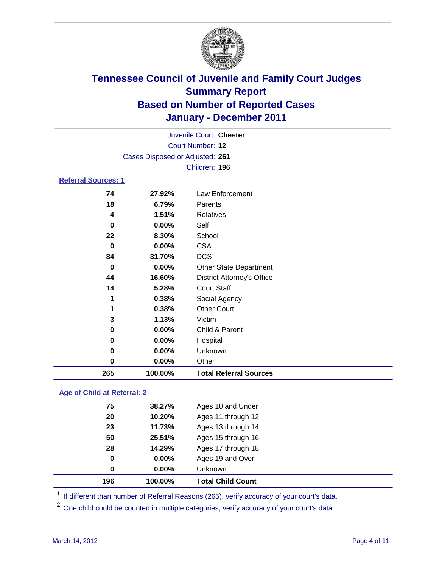

| Juvenile Court: Chester    |                                 |                                   |  |
|----------------------------|---------------------------------|-----------------------------------|--|
|                            | <b>Court Number: 12</b>         |                                   |  |
|                            | Cases Disposed or Adjusted: 261 |                                   |  |
|                            |                                 | Children: 196                     |  |
| <b>Referral Sources: 1</b> |                                 |                                   |  |
| 74                         | 27.92%                          | Law Enforcement                   |  |
| 18                         | 6.79%                           | Parents                           |  |
| 4                          | 1.51%                           | <b>Relatives</b>                  |  |
| 0                          | $0.00\%$                        | Self                              |  |
| 22                         | 8.30%                           | School                            |  |
| $\bf{0}$                   | 0.00%                           | <b>CSA</b>                        |  |
| 84                         | 31.70%                          | <b>DCS</b>                        |  |
| 0                          | 0.00%                           | <b>Other State Department</b>     |  |
| 44                         | 16.60%                          | <b>District Attorney's Office</b> |  |
| 14                         | 5.28%                           | <b>Court Staff</b>                |  |
| 1                          | 0.38%                           | Social Agency                     |  |
| 1                          | 0.38%                           | <b>Other Court</b>                |  |
| 3                          | 1.13%                           | Victim                            |  |
| $\pmb{0}$                  | 0.00%                           | Child & Parent                    |  |
| $\mathbf 0$                | $0.00\%$                        | Hospital                          |  |
| 0                          | 0.00%                           | Unknown                           |  |
| $\bf{0}$                   | 0.00%                           | Other                             |  |
| 265                        | 100.00%                         | <b>Total Referral Sources</b>     |  |

### **Age of Child at Referral: 2**

| 196 | 100.00%  | <b>Total Child Count</b> |
|-----|----------|--------------------------|
| 0   | $0.00\%$ | <b>Unknown</b>           |
| 0   | $0.00\%$ | Ages 19 and Over         |
| 28  | 14.29%   | Ages 17 through 18       |
| 50  | 25.51%   | Ages 15 through 16       |
| 23  | 11.73%   | Ages 13 through 14       |
| 20  | 10.20%   | Ages 11 through 12       |
| 75  | 38.27%   | Ages 10 and Under        |
|     |          |                          |

<sup>1</sup> If different than number of Referral Reasons (265), verify accuracy of your court's data.

<sup>2</sup> One child could be counted in multiple categories, verify accuracy of your court's data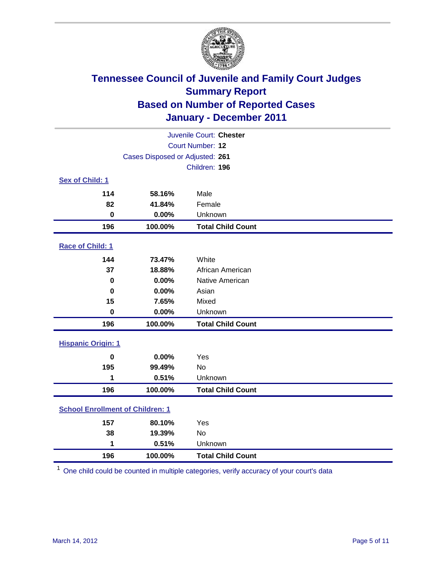

| Juvenile Court: Chester                 |                                 |                          |  |  |
|-----------------------------------------|---------------------------------|--------------------------|--|--|
| Court Number: 12                        |                                 |                          |  |  |
|                                         | Cases Disposed or Adjusted: 261 |                          |  |  |
|                                         |                                 | Children: 196            |  |  |
| Sex of Child: 1                         |                                 |                          |  |  |
| 114                                     | 58.16%                          | Male                     |  |  |
| 82                                      | 41.84%                          | Female                   |  |  |
| $\mathbf 0$                             | 0.00%                           | Unknown                  |  |  |
| 196                                     | 100.00%                         | <b>Total Child Count</b> |  |  |
| Race of Child: 1                        |                                 |                          |  |  |
| 144                                     | 73.47%                          | White                    |  |  |
| 37                                      | 18.88%                          | African American         |  |  |
| $\mathbf 0$                             | 0.00%                           | Native American          |  |  |
| $\mathbf 0$                             | 0.00%                           | Asian                    |  |  |
| 15                                      | 7.65%                           | Mixed                    |  |  |
| $\pmb{0}$                               | 0.00%                           | Unknown                  |  |  |
| 196                                     | 100.00%                         | <b>Total Child Count</b> |  |  |
| <b>Hispanic Origin: 1</b>               |                                 |                          |  |  |
| $\mathbf 0$                             | 0.00%                           | Yes                      |  |  |
| 195                                     | 99.49%                          | No                       |  |  |
| 1                                       | 0.51%                           | Unknown                  |  |  |
| 196                                     | 100.00%                         | <b>Total Child Count</b> |  |  |
| <b>School Enrollment of Children: 1</b> |                                 |                          |  |  |
| 157                                     | 80.10%                          | Yes                      |  |  |
| 38                                      | 19.39%                          | No                       |  |  |
| 1                                       | 0.51%                           | Unknown                  |  |  |
| 196                                     | 100.00%                         | <b>Total Child Count</b> |  |  |

One child could be counted in multiple categories, verify accuracy of your court's data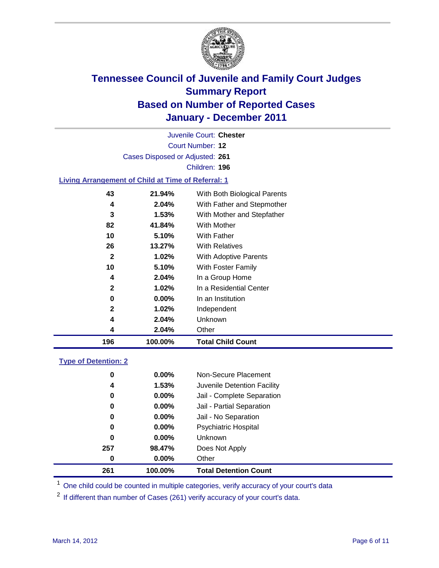

Court Number: **12** Juvenile Court: **Chester** Cases Disposed or Adjusted: **261** Children: **196**

#### **Living Arrangement of Child at Time of Referral: 1**

| 196 | 100.00% | <b>Total Child Count</b>     |
|-----|---------|------------------------------|
| 4   | 2.04%   | Other                        |
| 4   | 2.04%   | <b>Unknown</b>               |
| 2   | 1.02%   | Independent                  |
| 0   | 0.00%   | In an Institution            |
| 2   | 1.02%   | In a Residential Center      |
| 4   | 2.04%   | In a Group Home              |
| 10  | 5.10%   | With Foster Family           |
| 2   | 1.02%   | With Adoptive Parents        |
| 26  | 13.27%  | <b>With Relatives</b>        |
| 10  | 5.10%   | <b>With Father</b>           |
| 82  | 41.84%  | With Mother                  |
| 3   | 1.53%   | With Mother and Stepfather   |
| 4   | 2.04%   | With Father and Stepmother   |
| 43  | 21.94%  | With Both Biological Parents |
|     |         |                              |

#### **Type of Detention: 2**

| 261 | 100.00%  | <b>Total Detention Count</b> |  |
|-----|----------|------------------------------|--|
| 0   | 0.00%    | Other                        |  |
| 257 | 98.47%   | Does Not Apply               |  |
| 0   | $0.00\%$ | Unknown                      |  |
| 0   | $0.00\%$ | Psychiatric Hospital         |  |
| 0   | 0.00%    | Jail - No Separation         |  |
| 0   | $0.00\%$ | Jail - Partial Separation    |  |
| 0   | $0.00\%$ | Jail - Complete Separation   |  |
| 4   | 1.53%    | Juvenile Detention Facility  |  |
| 0   | $0.00\%$ | Non-Secure Placement         |  |
|     |          |                              |  |

<sup>1</sup> One child could be counted in multiple categories, verify accuracy of your court's data

<sup>2</sup> If different than number of Cases (261) verify accuracy of your court's data.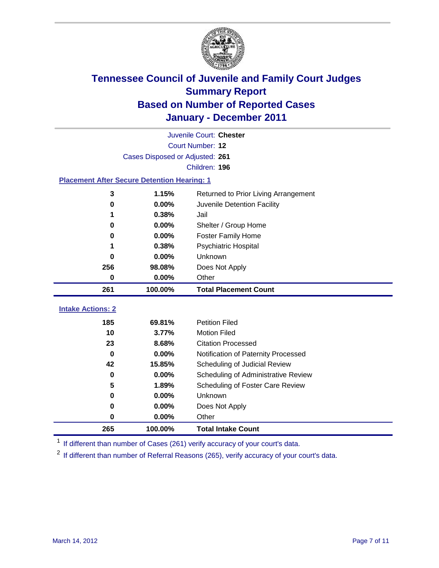

| Juvenile Court: Chester                            |                                 |                                      |  |  |
|----------------------------------------------------|---------------------------------|--------------------------------------|--|--|
|                                                    | Court Number: 12                |                                      |  |  |
|                                                    | Cases Disposed or Adjusted: 261 |                                      |  |  |
|                                                    |                                 | Children: 196                        |  |  |
| <b>Placement After Secure Detention Hearing: 1</b> |                                 |                                      |  |  |
| 3                                                  | 1.15%                           | Returned to Prior Living Arrangement |  |  |
| $\bf{0}$                                           | 0.00%                           | Juvenile Detention Facility          |  |  |
| 1                                                  | 0.38%                           | Jail                                 |  |  |
| 0                                                  | 0.00%                           | Shelter / Group Home                 |  |  |
| 0                                                  | 0.00%                           | <b>Foster Family Home</b>            |  |  |
| 1                                                  | 0.38%                           | Psychiatric Hospital                 |  |  |
| 0                                                  | 0.00%                           | Unknown                              |  |  |
| 256                                                | 98.08%                          | Does Not Apply                       |  |  |
| $\bf{0}$                                           | 0.00%                           | Other                                |  |  |
|                                                    |                                 |                                      |  |  |
| 261                                                | 100.00%                         | <b>Total Placement Count</b>         |  |  |
| <b>Intake Actions: 2</b>                           |                                 |                                      |  |  |
| 185                                                | 69.81%                          | <b>Petition Filed</b>                |  |  |
| 10                                                 | 3.77%                           | <b>Motion Filed</b>                  |  |  |
| 23                                                 | 8.68%                           | <b>Citation Processed</b>            |  |  |
| 0                                                  | 0.00%                           | Notification of Paternity Processed  |  |  |
| 42                                                 | 15.85%                          | Scheduling of Judicial Review        |  |  |
| 0                                                  | 0.00%                           | Scheduling of Administrative Review  |  |  |
| 5                                                  | 1.89%                           | Scheduling of Foster Care Review     |  |  |
| $\bf{0}$                                           | 0.00%                           | Unknown                              |  |  |
| 0                                                  | 0.00%                           | Does Not Apply                       |  |  |
| 0                                                  | 0.00%                           | Other                                |  |  |

<sup>1</sup> If different than number of Cases (261) verify accuracy of your court's data.

<sup>2</sup> If different than number of Referral Reasons (265), verify accuracy of your court's data.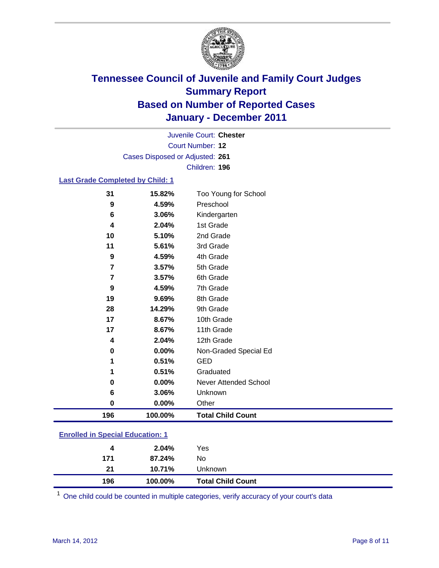

Court Number: **12** Juvenile Court: **Chester** Cases Disposed or Adjusted: **261** Children: **196**

#### **Last Grade Completed by Child: 1**

| 31                                      | 15.82%  | Too Young for School         |  |
|-----------------------------------------|---------|------------------------------|--|
| 9                                       | 4.59%   | Preschool                    |  |
| 6                                       | 3.06%   | Kindergarten                 |  |
| 4                                       | 2.04%   | 1st Grade                    |  |
| 10                                      | 5.10%   | 2nd Grade                    |  |
| 11                                      | 5.61%   | 3rd Grade                    |  |
| 9                                       | 4.59%   | 4th Grade                    |  |
| 7                                       | 3.57%   | 5th Grade                    |  |
| $\overline{7}$                          | 3.57%   | 6th Grade                    |  |
| 9                                       | 4.59%   | 7th Grade                    |  |
| 19                                      | 9.69%   | 8th Grade                    |  |
| 28                                      | 14.29%  | 9th Grade                    |  |
| 17                                      | 8.67%   | 10th Grade                   |  |
| 17                                      | 8.67%   | 11th Grade                   |  |
| 4                                       | 2.04%   | 12th Grade                   |  |
| $\bf{0}$                                | 0.00%   | Non-Graded Special Ed        |  |
| 1                                       | 0.51%   | <b>GED</b>                   |  |
| 1                                       | 0.51%   | Graduated                    |  |
| 0                                       | 0.00%   | <b>Never Attended School</b> |  |
| 6                                       | 3.06%   | Unknown                      |  |
| $\mathbf 0$                             | 0.00%   | Other                        |  |
| 196                                     | 100.00% | <b>Total Child Count</b>     |  |
| <b>Enrolled in Special Education: 1</b> |         |                              |  |

| 196                                       | 100.00% | <b>Total Child Count</b> |  |  |
|-------------------------------------------|---------|--------------------------|--|--|
| 21                                        | 10.71%  | Unknown                  |  |  |
| 171                                       | 87.24%  | No                       |  |  |
| 4                                         | 2.04%   | Yes                      |  |  |
| <u>Einvilled III Opeelal Education. T</u> |         |                          |  |  |

One child could be counted in multiple categories, verify accuracy of your court's data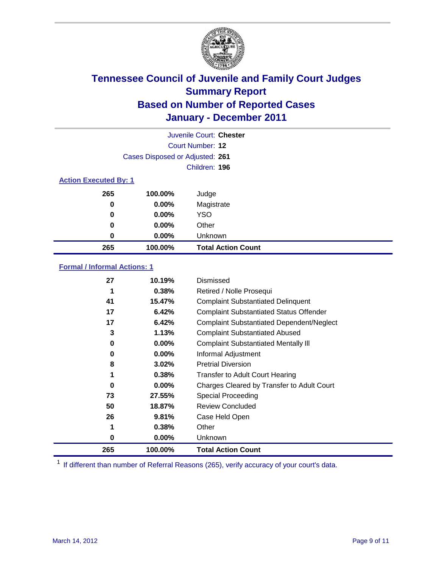

|     |                                 | Juvenile Court: Chester   |  |  |  |
|-----|---------------------------------|---------------------------|--|--|--|
|     |                                 | Court Number: 12          |  |  |  |
|     | Cases Disposed or Adjusted: 261 |                           |  |  |  |
|     |                                 | Children: 196             |  |  |  |
|     | <b>Action Executed By: 1</b>    |                           |  |  |  |
| 265 | 100.00%                         | Judge                     |  |  |  |
| 0   | $0.00\%$                        | Magistrate                |  |  |  |
| 0   | $0.00\%$                        | <b>YSO</b>                |  |  |  |
| 0   | 0.00%                           | Other                     |  |  |  |
| 0   | 0.00%                           | Unknown                   |  |  |  |
| 265 | 100.00%                         | <b>Total Action Count</b> |  |  |  |

### **Formal / Informal Actions: 1**

| 27  | 10.19%   | Dismissed                                        |
|-----|----------|--------------------------------------------------|
| 1   | 0.38%    | Retired / Nolle Prosequi                         |
| 41  | 15.47%   | <b>Complaint Substantiated Delinquent</b>        |
| 17  | 6.42%    | <b>Complaint Substantiated Status Offender</b>   |
| 17  | 6.42%    | <b>Complaint Substantiated Dependent/Neglect</b> |
| 3   | 1.13%    | <b>Complaint Substantiated Abused</b>            |
| 0   | $0.00\%$ | <b>Complaint Substantiated Mentally III</b>      |
| 0   | $0.00\%$ | Informal Adjustment                              |
| 8   | $3.02\%$ | <b>Pretrial Diversion</b>                        |
| 1   | 0.38%    | <b>Transfer to Adult Court Hearing</b>           |
| 0   | $0.00\%$ | Charges Cleared by Transfer to Adult Court       |
| 73  | 27.55%   | Special Proceeding                               |
| 50  | 18.87%   | <b>Review Concluded</b>                          |
| 26  | 9.81%    | Case Held Open                                   |
| 1   | 0.38%    | Other                                            |
| 0   | $0.00\%$ | Unknown                                          |
| 265 | 100.00%  | <b>Total Action Count</b>                        |

<sup>1</sup> If different than number of Referral Reasons (265), verify accuracy of your court's data.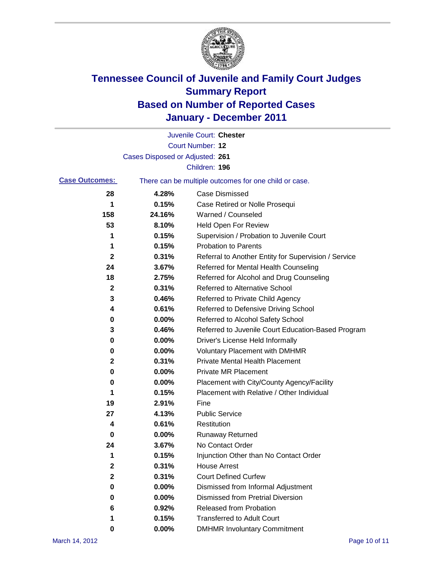

|                       |                                 | Juvenile Court: Chester                               |
|-----------------------|---------------------------------|-------------------------------------------------------|
|                       |                                 | <b>Court Number: 12</b>                               |
|                       | Cases Disposed or Adjusted: 261 |                                                       |
|                       |                                 | Children: 196                                         |
| <b>Case Outcomes:</b> |                                 | There can be multiple outcomes for one child or case. |
| 28                    | 4.28%                           | <b>Case Dismissed</b>                                 |
| 1                     | 0.15%                           | Case Retired or Nolle Prosequi                        |
| 158                   | 24.16%                          | Warned / Counseled                                    |
| 53                    | 8.10%                           | Held Open For Review                                  |
| 1                     | 0.15%                           | Supervision / Probation to Juvenile Court             |
| 1                     | 0.15%                           | <b>Probation to Parents</b>                           |
| 2                     | 0.31%                           | Referral to Another Entity for Supervision / Service  |
| 24                    | 3.67%                           | Referred for Mental Health Counseling                 |
| 18                    | 2.75%                           | Referred for Alcohol and Drug Counseling              |
| 2                     | 0.31%                           | <b>Referred to Alternative School</b>                 |
| 3                     | 0.46%                           | Referred to Private Child Agency                      |
| 4                     | 0.61%                           | Referred to Defensive Driving School                  |
| 0                     | 0.00%                           | Referred to Alcohol Safety School                     |
| 3                     | 0.46%                           | Referred to Juvenile Court Education-Based Program    |
| 0                     | 0.00%                           | Driver's License Held Informally                      |
| 0                     | 0.00%                           | <b>Voluntary Placement with DMHMR</b>                 |
| 2                     | 0.31%                           | Private Mental Health Placement                       |
| 0                     | 0.00%                           | <b>Private MR Placement</b>                           |
| 0                     | 0.00%                           | Placement with City/County Agency/Facility            |
| 1                     | 0.15%                           | Placement with Relative / Other Individual            |
| 19                    | 2.91%                           | Fine                                                  |
| 27                    | 4.13%                           | <b>Public Service</b>                                 |
| 4                     | 0.61%                           | Restitution                                           |
| 0                     | 0.00%                           | <b>Runaway Returned</b>                               |
| 24                    | 3.67%                           | No Contact Order                                      |
| 1                     | 0.15%                           | Injunction Other than No Contact Order                |
| 2                     | 0.31%                           | <b>House Arrest</b>                                   |
| 2                     | 0.31%                           | <b>Court Defined Curfew</b>                           |
| 0                     | $0.00\%$                        | Dismissed from Informal Adjustment                    |
| 0                     | $0.00\%$                        | <b>Dismissed from Pretrial Diversion</b>              |
| 6                     | 0.92%                           | Released from Probation                               |
| 1                     | 0.15%                           | <b>Transferred to Adult Court</b>                     |
| 0                     | $0.00\%$                        | <b>DMHMR Involuntary Commitment</b>                   |